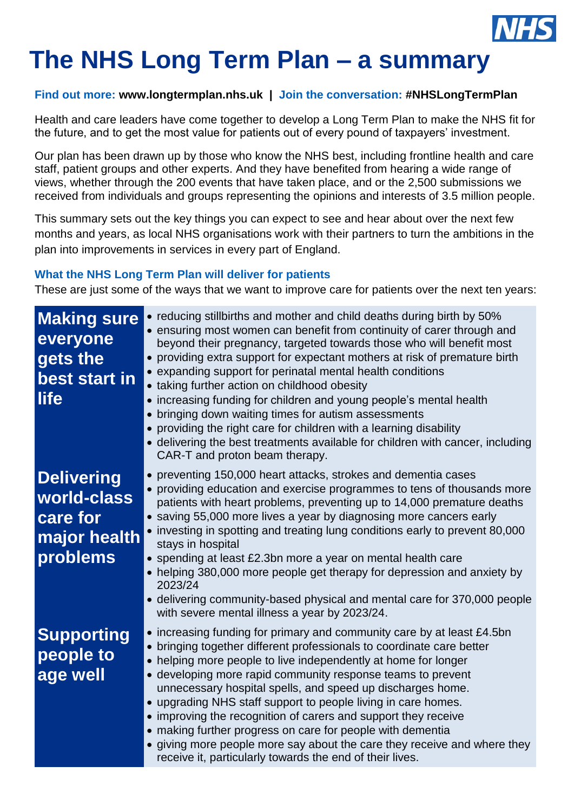

# **The NHS Long Term Plan – a summary**

## **Find out more: [www.longtermplan.nhs.uk](http://www.longtermplan.nhs.uk/) | Join the conversation: #NHSLongTermPlan**

Health and care leaders have come together to develop a Long Term Plan to make the NHS fit for the future, and to get the most value for patients out of every pound of taxpayers' investment.

Our plan has been drawn up by those who know the NHS best, including frontline health and care staff, patient groups and other experts. And they have benefited from hearing a wide range of views, whether through the 200 events that have taken place, and or the 2,500 submissions we received from individuals and groups representing the opinions and interests of 3.5 million people.

This summary sets out the key things you can expect to see and hear about over the next few months and years, as local NHS organisations work with their partners to turn the ambitions in the plan into improvements in services in every part of England.

# **What the NHS Long Term Plan will deliver for patients**

These are just some of the ways that we want to improve care for patients over the next ten years:

| <b>Making sure</b><br>everyone<br>gets the<br>best start in<br>life      | • reducing stillbirths and mother and child deaths during birth by 50%<br>• ensuring most women can benefit from continuity of carer through and<br>beyond their pregnancy, targeted towards those who will benefit most<br>• providing extra support for expectant mothers at risk of premature birth<br>• expanding support for perinatal mental health conditions<br>• taking further action on childhood obesity<br>• increasing funding for children and young people's mental health<br>• bringing down waiting times for autism assessments<br>• providing the right care for children with a learning disability<br>• delivering the best treatments available for children with cancer, including<br>CAR-T and proton beam therapy. |
|--------------------------------------------------------------------------|----------------------------------------------------------------------------------------------------------------------------------------------------------------------------------------------------------------------------------------------------------------------------------------------------------------------------------------------------------------------------------------------------------------------------------------------------------------------------------------------------------------------------------------------------------------------------------------------------------------------------------------------------------------------------------------------------------------------------------------------|
| <b>Delivering</b><br>world-class<br>care for<br>major health<br>problems | • preventing 150,000 heart attacks, strokes and dementia cases<br>• providing education and exercise programmes to tens of thousands more<br>patients with heart problems, preventing up to 14,000 premature deaths<br>• saving 55,000 more lives a year by diagnosing more cancers early<br>• investing in spotting and treating lung conditions early to prevent 80,000<br>stays in hospital<br>• spending at least £2.3bn more a year on mental health care<br>• helping 380,000 more people get therapy for depression and anxiety by<br>2023/24<br>• delivering community-based physical and mental care for 370,000 people<br>with severe mental illness a year by 2023/24.                                                            |
| <b>Supporting</b><br>people to<br>age well                               | • increasing funding for primary and community care by at least £4.5bn<br>• bringing together different professionals to coordinate care better<br>• helping more people to live independently at home for longer<br>• developing more rapid community response teams to prevent<br>unnecessary hospital spells, and speed up discharges home.<br>• upgrading NHS staff support to people living in care homes.<br>• improving the recognition of carers and support they receive<br>• making further progress on care for people with dementia<br>• giving more people more say about the care they receive and where they<br>receive it, particularly towards the end of their lives.                                                      |